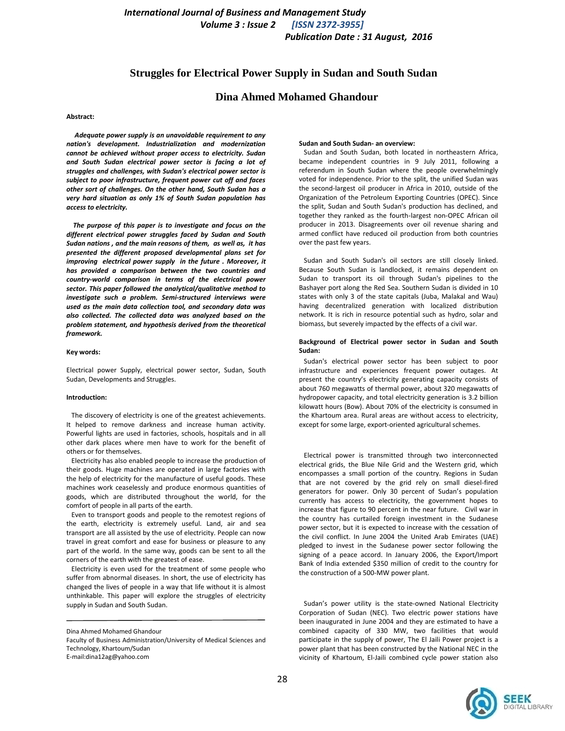# **Struggles for Electrical Power Supply in Sudan and South Sudan**

# **Dina Ahmed Mohamed Ghandour**

# **Abstract:**

 *Adequate power supply is an unavoidable requirement to any nation's development. Industrialization and modernization cannot be achieved without proper access to electricity. Sudan and South Sudan electrical power sector is facing a lot of struggles and challenges, with Sudan's electrical power sector is subject to poor infrastructure, frequent power cut off and faces other sort of challenges. On the other hand, South Sudan has a very hard situation as only 1% of South Sudan population has access to electricity.*

 *The purpose of this paper is to investigate and focus on the different electrical power struggles faced by Sudan and South Sudan nations , and the main reasons of them, as well as, it has presented the different proposed developmental plans set for improving electrical power supply in the future . Moreover, it has provided a comparison between the two countries and country-world comparison in terms of the electrical power sector. This paper followed the analytical/qualitative method to investigate such a problem. Semi-structured interviews were used as the main data collection tool, and secondary data was also collected. The collected data was analyzed based on the problem statement, and hypothesis derived from the theoretical framework.* 

#### **Key words:**

Electrical power Supply, electrical power sector, Sudan, South Sudan, Developments and Struggles.

#### **Introduction:**

The discovery of electricity is one of the greatest achievements. It helped to remove darkness and increase human activity. Powerful lights are used in factories, schools, hospitals and in all other dark places where men have to work for the benefit of others or for themselves.

Electricity has also enabled people to increase the production of their goods. Huge machines are operated in large factories with the help of electricity for the manufacture of useful goods. These machines work ceaselessly and produce enormous quantities of goods, which are distributed throughout the world, for the comfort of people in all parts of the earth.

 Even to transport goods and people to the remotest regions of the earth, electricity is extremely useful. Land, air and sea transport are all assisted by the use of electricity. People can now travel in great comfort and ease for business or pleasure to any part of the world. In the same way, goods can be sent to all the corners of the earth with the greatest of ease.

 Electricity is even used for the treatment of some people who suffer from abnormal diseases. In short, the use of electricity has changed the lives of people in a way that life without it is almost unthinkable. This paper will explore the struggles of electricity supply in Sudan and South Sudan.

#### **Sudan and South Sudan- an overview:**

 Sudan and South Sudan, both located in northeastern Africa, became independent countries in 9 July 2011, following a referendum in South Sudan where the people overwhelmingly voted for independence. Prior to the split, the unified Sudan was the second-largest oil producer in Africa in 2010, outside of the Organization of the Petroleum Exporting Countries (OPEC). Since the split, Sudan and South Sudan's production has declined, and together they ranked as the fourth-largest non-OPEC African oil producer in 2013. Disagreements over oil revenue sharing and armed conflict have reduced oil production from both countries over the past few years.

 Sudan and South Sudan's oil sectors are still closely linked. Because South Sudan is landlocked, it remains dependent on Sudan to transport its oil through Sudan's pipelines to the Bashayer port along the Red Sea. Southern Sudan is divided in 10 states with only 3 of the state capitals (Juba, Malakal and Wau) having decentralized generation with localized distribution network. It is rich in resource potential such as hydro, solar and biomass, but severely impacted by the effects of a civil war.

### **Background of Electrical power sector in Sudan and South Sudan:**

 Sudan's electrical power sector has been subject to poor infrastructure and experiences frequent power outages. At present the country's electricity generating capacity consists of about 760 megawatts of thermal power, about 320 megawatts of hydropower capacity, and total electricity generation is 3.2 billion kilowatt hours (Bow). About 70% of the electricity is consumed in the Khartoum area. Rural areas are without access to electricity, except for some large, export-oriented agricultural schemes.

 Electrical power is transmitted through two interconnected electrical grids, the Blue Nile Grid and the Western grid, which encompasses a small portion of the country. Regions in Sudan that are not covered by the grid rely on small diesel-fired generators for power. Only 30 percent of Sudan's population currently has access to electricity, the government hopes to increase that figure to 90 percent in the near future. Civil war in the country has curtailed foreign investment in the Sudanese power sector, but it is expected to increase with the cessation of the civil conflict. In June 2004 the United Arab Emirates (UAE) pledged to invest in the Sudanese power sector following the signing of a peace accord. In January 2006, the Export/Import Bank of India extended \$350 million of credit to the country for the construction of a 500-MW power plant.

 Sudan's power utility is the state-owned National Electricity Corporation of Sudan (NEC). Two electric power stations have been inaugurated in June 2004 and they are estimated to have a combined capacity of 330 MW, two facilities that would participate in the supply of power, The El Jaili Power project is a power plant that has been constructed by the National NEC in the vicinity of Khartoum, El-Jaili combined cycle power station also



Dina Ahmed Mohamed Ghandour

Faculty of Business Administration/University of Medical Sciences and Technology, Khartoum/Sudan E-mail:dina12ag@yahoo.com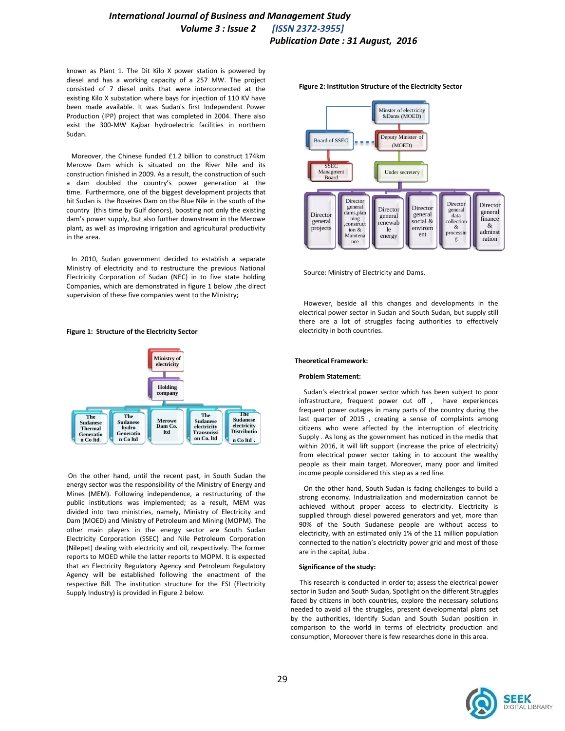# *International Journal of Business and Management Study International Journal of Business and Management Study Volume 3 : Issue 2 [ISSN 2372-3955] Volume 3 : Issue 2 [ISSN 2372-3955] Publication Date : 31 August, 2016 Publication Date : 31 August, 2016*

known as Plant 1. The Dit Kilo X power station is powered by diesel and has a working capacity of a 257 MW. The project consisted of 7 diesel units that were interconnected at the existing Kilo X substation where bays for injection of 110 KV have been made available. It was Sudan's first Independent Power Production (IPP) project that was completed in 2004. There also exist the 300-MW Kajbar hydroelectric facilities in northern Sudan.

 Moreover, the Chinese funded £1.2 billion to construct 174km Merowe Dam which is situated on the River Nile and its construction finished in 2009. As a result, the construction of such a dam doubled the country's power generation at the time. Furthermore, one of the biggest development projects that hit Sudan is the Roseires Dam on the Blue Nile in the south of the country (this time by Gulf donors), boosting not only the existing dam's power supply, but also further downstream in the Merowe plant, as well as improving irrigation and agricultural productivity in the area.

 In 2010, Sudan government decided to establish a separate Ministry of electricity and to restructure the previous National Electricity Corporation of Sudan (NEC) in to five state holding Companies, which are demonstrated in figure 1 below ,the direct supervision of these five companies went to the Ministry;

# **Figure 1: Structure of the Electricity Sector**



On the other hand, until the recent past, in South Sudan the energy sector was the responsibility of the Ministry of Energy and Mines (MEM). Following independence, a restructuring of the public institutions was implemented; as a result, MEM was divided into two ministries, namely, Ministry of Electricity and Dam (MOED) and Ministry of Petroleum and Mining (MOPM). The other main players in the energy sector are South Sudan Electricity Corporation (SSEC) and Nile Petroleum Corporation (Nilepet) dealing with electricity and oil, respectively. The former reports to MOED while the latter reports to MOPM. It is expected that an Electricity Regulatory Agency and Petroleum Regulatory Agency will be established following the enactment of the respective Bill. The institution structure for the ESI (Electricity Supply Industry) is provided in Figure 2 below.



Source: Ministry of Electricity and Dams.

 However, beside all this changes and developments in the electrical power sector in Sudan and South Sudan, but supply still there are a lot of struggles facing authorities to effectively electricity in both countries.

# **Theoretical Framework:**

### **Problem Statement:**

 Sudan's electrical power sector which has been subject to poor infrastructure, frequent power cut off , have experiences frequent power outages in many parts of the country during the last quarter of 2015 , creating a sense of complaints among citizens who were affected by the interruption of electricity Supply . As long as the government has noticed in the media that within 2016, it will lift support (increase the price of electricity) from electrical power sector taking in to account the wealthy people as their main target. Moreover, many poor and limited income people considered this step as a red line.

 On the other hand, South Sudan is facing challenges to build a strong economy. Industrialization and modernization cannot be achieved without proper access to electricity. Electricity is supplied through diesel powered generators and yet, more than 90% of the South Sudanese people are without access to electricity, with an estimated only 1% of the 11 million population connected to the nation's electricity power grid and most of those are in the capital, Juba .

### **Significance of the study:**

 This research is conducted in order to; assess the electrical power sector in Sudan and South Sudan, Spotlight on the different Struggles faced by citizens in both countries, explore the necessary solutions needed to avoid all the struggles, present developmental plans set by the authorities, Identify Sudan and South Sudan position in comparison to the world in terms of electricity production and consumption, Moreover there is few researches done in this area.

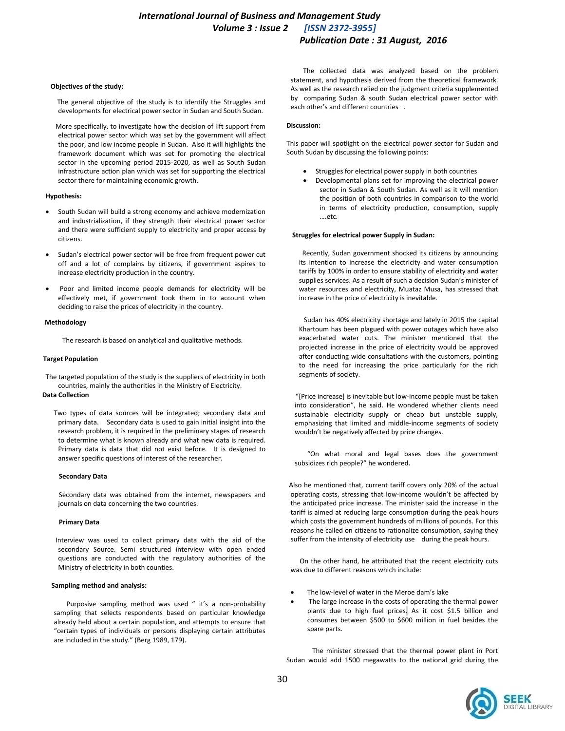### **Objectives of the study:**

 The general objective of the study is to identify the Struggles and developments for electrical power sector in Sudan and South Sudan.

 More specifically, to investigate how the decision of lift support from electrical power sector which was set by the government will affect the poor, and low income people in Sudan. Also it will highlights the framework document which was set for promoting the electrical sector in the upcoming period 2015-2020, as well as South Sudan infrastructure action plan which was set for supporting the electrical sector there for maintaining economic growth.

# **Hypothesis:**

- South Sudan will build a strong economy and achieve modernization and industrialization, if they strength their electrical power sector and there were sufficient supply to electricity and proper access by citizens.
- Sudan's electrical power sector will be free from frequent power cut off and a lot of complains by citizens, if government aspires to increase electricity production in the country.
- Poor and limited income people demands for electricity will be effectively met, if government took them in to account when deciding to raise the prices of electricity in the country.

### **Methodology**

The research is based on analytical and qualitative methods.

# **Target Population**

The targeted population of the study is the suppliers of electricity in both countries, mainly the authorities in the Ministry of Electricity.

# **Data Collection**

 Two types of data sources will be integrated; secondary data and primary data. Secondary data is used to gain initial insight into the research problem, it is required in the preliminary stages of research to determine what is known already and what new data is required. Primary data is data that did not exist before. It is designed to answer specific questions of interest of the researcher.

### **Secondary Data**

 Secondary data was obtained from the internet, newspapers and journals on data concerning the two countries.

### **Primary Data**

 Interview was used to collect primary data with the aid of the secondary Source. Semi structured interview with open ended questions are conducted with the regulatory authorities of the Ministry of electricity in both counties.

# **Sampling method and analysis:**

Purposive sampling method was used " it's a non-probability sampling that selects respondents based on particular knowledge already held about a certain population, and attempts to ensure that "certain types of individuals or persons displaying certain attributes are included in the study." [\(Berg 1989, 179\).](https://wiki.uoregon.edu/display/qualmethodsgeog/Interviews,+Semi-Structured#Interviews,Semi-Structured-references)

The collected data was analyzed based on the problem statement, and hypothesis derived from the theoretical framework. As well as the research relied on the judgment criteria supplemented by comparing Sudan & south Sudan electrical power sector with each other's and different countries .

# **Discussion:**

This paper will spotlight on the electrical power sector for Sudan and South Sudan by discussing the following points:

- Struggles for electrical power supply in both countries
- Developmental plans set for improving the electrical power sector in Sudan & South Sudan. As well as it will mention the position of both countries in comparison to the world in terms of electricity production, consumption, supply ….etc.

# **Struggles for electrical power Supply in Sudan:**

 Recently, Sudan government shocked its citizens by announcing its intention to increase the electricity and water consumption tariffs by 100% in order to ensure stability of electricity and water supplies services. As a result of such a decision Sudan's minister of water resources and electricity, Muataz Musa, has stressed that increase in the price of electricity is inevitable.

 Sudan has 40% electricity shortage and lately in 2015 the capital Khartoum has been plagued with power outages which have also exacerbated water cuts. The minister mentioned that the projected increase in the price of electricity would be approved after conducting wide consultations with the customers, pointing to the need for increasing the price particularly for the rich segments of society.

"[Price increase] is inevitable but low-income people must be taken into consideration", he said. He wondered whether clients need sustainable electricity supply or cheap but unstable supply, emphasizing that limited and middle-income segments of society wouldn't be negatively affected by price changes.

"On what moral and legal bases does the government subsidizes rich people?" he wondered.

 Also he mentioned that, current tariff covers only 20% of the actual operating costs, stressing that low-income wouldn't be affected by the anticipated price increase. The minister said the increase in the tariff is aimed at reducing large consumption during the peak hours which costs the government hundreds of millions of pounds. For this reasons he called on citizens to rationalize consumption, saying they suffer from the intensity of electricity use during the peak hours.

 On the other hand, he attributed that the recent electricity cuts was due to different reasons which include:

- The low-level of water in the Meroe dam's lake
- The large increase in the costs of operating the thermal power plants due to high fuel prices. As it cost \$1.5 billion and consumes between \$500 to \$600 million in fuel besides the spare parts.

 The minister stressed that the thermal power plant in Port Sudan would add 1500 megawatts to the national grid during the

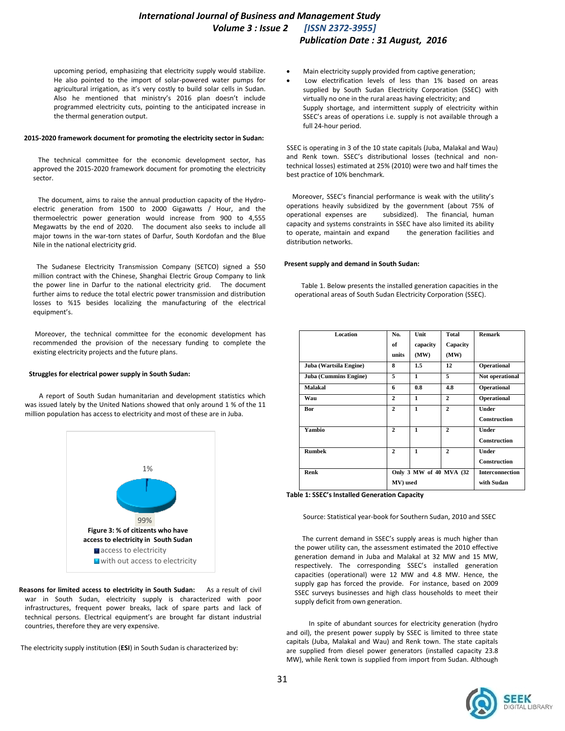upcoming period, emphasizing that electricity supply would stabilize. He also pointed to the import of solar-powered water pumps for agricultural irrigation, as it's very costly to build solar cells in Sudan. Also he mentioned that ministry's 2016 plan doesn't include programmed electricity cuts, pointing to the anticipated increase in the thermal generation output.

#### **2015-2020 framework document for promoting the electricity sector in Sudan:**

 The technical committee for the economic development sector, has approved the 2015-2020 framework document for promoting the electricity sector.

 The document, aims to raise the annual production capacity of the Hydroelectric generation from 1500 to 2000 Gigawatts / Hour, and the thermoelectric power generation would increase from 900 to 4,555 Megawatts by the end of 2020. The document also seeks to include all major towns in the war-torn states of Darfur, South Kordofan and the Blue Nile in the national electricity grid.

 The Sudanese Electricity Transmission Company (SETCO) signed a \$50 million contract with the Chinese, Shanghai Electric Group Company to link the power line in Darfur to the national electricity grid. The document further aims to reduce the total electric power transmission and distribution losses to %15 besides localizing the manufacturing of the electrical equipment's.

 Moreover, the technical committee for the economic development has recommended the provision of the necessary funding to complete the existing electricity projects and the future plans.

### **Struggles for electrical power supply in South Sudan:**

 A report of South Sudan humanitarian and development statistics which was issued lately by the United Nations showed that only around 1 % of the 11 million population has access to electricity and most of these are in Juba.



 **Reasons for limited access to electricity in South Sudan:** As a result of civil war in South Sudan, electricity supply is characterized with poor infrastructures, frequent power breaks, lack of spare parts and lack of technical persons. Electrical equipment's are brought far distant industrial countries, therefore they are very expensive.

The electricity supply institution (**ESI**) in South Sudan is characterized by:

- Main electricity supply provided from captive generation;
- Low electrification levels of less than 1% based on areas supplied by South Sudan Electricity Corporation (SSEC) with virtually no one in the rural areas having electricity; and Supply shortage, and intermittent supply of electricity within SSEC's areas of operations i.e. supply is not available through a full 24-hour period.

 SSEC is operating in 3 of the 10 state capitals (Juba, Malakal and Wau) and Renk town. SSEC's distributional losses (technical and nontechnical losses) estimated at 25% (2010) were two and half times the best practice of 10% benchmark.

 Moreover, SSEC's financial performance is weak with the utility's operations heavily subsidized by the government (about 75% of operational expenses are subsidized). The financial, human capacity and systems constraints in SSEC have also limited its ability to operate, maintain and expand the generation facilities and distribution networks.

### **Present supply and demand in South Sudan:**

 Table 1. Below presents the installed generation capacities in the operational areas of South Sudan Electricity Corporation (SSEC).

| Location               | No.                     | Unit     | Total        | Remark                 |
|------------------------|-------------------------|----------|--------------|------------------------|
|                        |                         |          |              |                        |
|                        | of                      | capacity | Capacity     |                        |
|                        | units                   | (MW)     | (MW)         |                        |
| Juba (Wartsila Engine) | 8                       | $1.5\,$  | 12           | Operational            |
| Juba (Cummins Engine)  | 5                       | 1        | 5            | Not operational        |
| Malakal                | 6                       | 0.8      | 4.8          | Operational            |
| Wau                    | $\mathbf{2}$            | 1        | $\mathbf{2}$ | Operational            |
| Bor                    | $\overline{2}$          | 1        | $\mathbf{2}$ | Under                  |
|                        |                         |          |              | <b>Construction</b>    |
| Yambio                 | $\mathbf{2}$            | 1        | $\mathbf{2}$ | Under                  |
|                        |                         |          |              | <b>Construction</b>    |
| <b>Rumbek</b>          | $\mathbf{2}$            | 1        | $\mathbf{2}$ | <b>Under</b>           |
|                        |                         |          |              | <b>Construction</b>    |
| Renk                   | Only 3 MW of 40 MVA (32 |          |              | <b>Interconnection</b> |
|                        | MV) used                |          |              | with Sudan             |

**Table 1: SSEC's Installed Generation Capacity**

Source: Statistical year-book for Southern Sudan, 2010 and SSEC

The current demand in SSEC's supply areas is much higher than the power utility can, the assessment estimated the 2010 effective generation demand in Juba and Malakal at 32 MW and 15 MW, respectively. The corresponding SSEC's installed generation capacities (operational) were 12 MW and 4.8 MW. Hence, the supply gap has forced the provide. For instance, based on 2009 SSEC surveys businesses and high class households to meet their supply deficit from own generation.

In spite of abundant sources for electricity generation (hydro and oil), the present power supply by SSEC is limited to three state capitals (Juba, Malakal and Wau) and Renk town. The state capitals are supplied from diesel power generators (installed capacity 23.8 MW), while Renk town is supplied from import from Sudan. Although

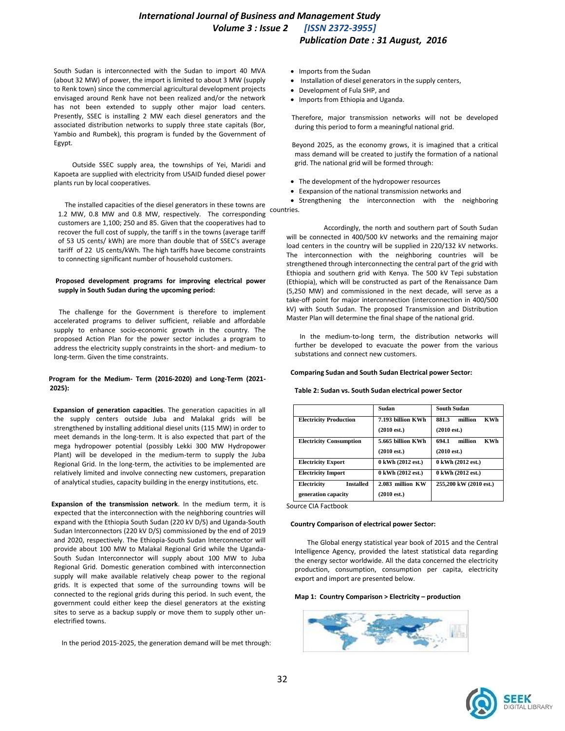South Sudan is interconnected with the Sudan to import 40 MVA (about 32 MW) of power, the import is limited to about 3 MW (supply to Renk town) since the commercial agricultural development projects envisaged around Renk have not been realized and/or the network has not been extended to supply other major load centers. Presently, SSEC is installing 2 MW each diesel generators and the associated distribution networks to supply three state capitals (Bor, Yambio and Rumbek), this program is funded by the Government of Egypt.

Outside SSEC supply area, the townships of Yei, Maridi and Kapoeta are supplied with electricity from USAID funded diesel power plants run by local cooperatives.

The installed capacities of the diesel generators in these towns are<br>1.2. MM, 0.8. MM, and 0.8. MM, respectively. The corresponding countries. 1.2 MW, 0.8 MW and 0.8 MW, respectively. The corresponding customers are 1,100; 250 and 85. Given that the cooperatives had to recover the full cost of supply, the tariff s in the towns (average tariff of 53 US cents/ kWh) are more than double that of SSEC's average tariff of 22 US cents/kWh. The high tariffs have become constraints to connecting significant number of household customers.

# **Proposed development programs for improving electrical power supply in South Sudan during the upcoming period:**

 The challenge for the Government is therefore to implement accelerated programs to deliver sufficient, reliable and affordable supply to enhance socio-economic growth in the country. The proposed Action Plan for the power sector includes a program to address the electricity supply constraints in the short- and medium- to long-term. Given the time constraints.

# **Program for the Medium- Term (2016-2020) and Long-Term (2021- 2025):**

 **Expansion of generation capacities**. The generation capacities in all the supply centers outside Juba and Malakal grids will be strengthened by installing additional diesel units (115 MW) in order to meet demands in the long-term. It is also expected that part of the mega hydropower potential (possibly Lekki 300 MW Hydropower Plant) will be developed in the medium-term to supply the Juba Regional Grid. In the long-term, the activities to be implemented are relatively limited and involve connecting new customers, preparation of analytical studies, capacity building in the energy institutions, etc.

 **Expansion of the transmission network**. In the medium term, it is expected that the interconnection with the neighboring countries will expand with the Ethiopia South Sudan (220 kV D/S) and Uganda-South Sudan Interconnectors (220 kV D/S) commissioned by the end of 2019 and 2020, respectively. The Ethiopia-South Sudan Interconnector will provide about 100 MW to Malakal Regional Grid while the Uganda-South Sudan Interconnector will supply about 100 MW to Juba Regional Grid. Domestic generation combined with interconnection supply will make available relatively cheap power to the regional grids. It is expected that some of the surrounding towns will be connected to the regional grids during this period. In such event, the government could either keep the diesel generators at the existing sites to serve as a backup supply or move them to supply other unelectrified towns.

In the period 2015-2025, the generation demand will be met through:

- Imports from the Sudan
- Installation of diesel generators in the supply centers,
- Development of Fula SHP, and
- Imports from Ethiopia and Uganda.

 Therefore, major transmission networks will not be developed during this period to form a meaningful national grid.

 Beyond 2025, as the economy grows, it is imagined that a critical mass demand will be created to justify the formation of a national grid. The national grid will be formed through:

- The development of the hydropower resources
- Eexpansion of the national transmission networks and

• Strengthening the interconnection with the neighboring

 Accordingly, the north and southern part of South Sudan will be connected in 400/500 kV networks and the remaining major load centers in the country will be supplied in 220/132 kV networks. The interconnection with the neighboring countries will be strengthened through interconnecting the central part of the grid with Ethiopia and southern grid with Kenya. The 500 kV Tepi substation (Ethiopia), which will be constructed as part of the Renaissance Dam (5,250 MW) and commissioned in the next decade, will serve as a take-off point for major interconnection (interconnection in 400/500 kV) with South Sudan. The proposed Transmission and Distribution Master Plan will determine the final shape of the national grid.

 In the medium-to-long term, the distribution networks will further be developed to evacuate the power from the various substations and connect new customers.

### **Comparing Sudan and South Sudan Electrical power Sector:**

#### **Table 2: Sudan vs. South Sudan electrical power Sector**

|                                 | Sudan                 | South Sudan                    |
|---------------------------------|-----------------------|--------------------------------|
| <b>Electricity Production</b>   | 7.193 billion KWh     | <b>KWh</b><br>881.3<br>million |
|                                 | $(2010 \text{ est.})$ | $(2010 \text{ est.})$          |
| <b>Electricity Consumption</b>  | 5.665 billion KWh     | <b>KWh</b><br>694.1<br>million |
|                                 | $(2010 \text{ est.})$ | $(2010 \text{ est.})$          |
| <b>Electricity Export</b>       | 0 kWh (2012 est.)     | 0 kWh (2012 est.)              |
| <b>Electricity Import</b>       | 0 kWh (2012 est.)     | 0 kWh (2012 est.)              |
| <b>Installed</b><br>Electricity | 2.083 million KW      | 255.200 kW (2010 est.)         |
| generation capacity             | $(2010 \text{ est.})$ |                                |

Source [CIA Factbook](https://www.cia.gov/library/publications/the-world-factbook/index.html)

#### **Country Comparison of electrical power Sector:**

 The Global energy statistical year book of 2015 and the Central Intelligence Agency, provided the latest statistical data regarding the energy sector worldwide. All the data concerned the electricity production, consumption, consumption per capita, electricity export and import are presented below.

#### **Map 1: [Country Comparison](http://www.indexmundi.com/g/rank.html) > Electricity – production**



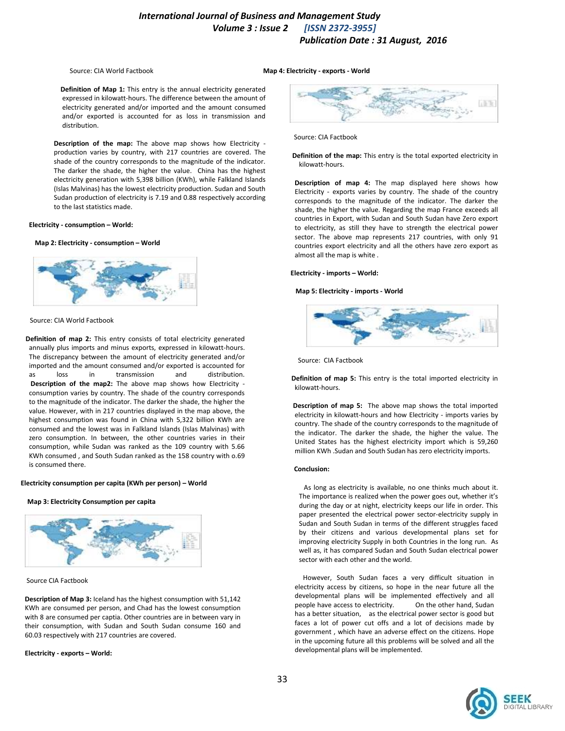Source: [CIA World Factbook](https://www.cia.gov/library/publications/the-world-factbook/)

**Map 4: Electricity - exports - World**

 **Definition of Map 1:** This entry is the annual electricity generated expressed in kilowatt-hours. The difference between the amount of electricity generated and/or imported and the amount consumed and/or exported is accounted for as loss in transmission and distribution.

 **Description of the map:** The above map shows how Electricity production varies by country, with 217 countries are covered. The shade of the country corresponds to the magnitude of the indicator. The darker the shade, the higher the value. China has the highest electricity generation with 5,398 billion (KWh), while Falkland Islands (Islas Malvinas) has the lowest electricity production. Sudan and South Sudan production of electricity is 7.19 and 0.88 respectively according to the last statistics made.

# **Electricity - consumption – World:**

#### **Map 2: Electricity - consumption – World**



### Source: [CIA World Factbook](https://www.cia.gov/library/publications/the-world-factbook/)

 **Definition of map 2:** This entry consists of total electricity generated annually plus imports and minus exports, expressed in kilowatt-hours. The discrepancy between the amount of electricity generated and/or imported and the amount consumed and/or exported is accounted for as loss in transmission and distribution. **Description of the map2:** The above map shows how Electricity consumption varies by country. The shade of the country corresponds to the magnitude of the indicator. The darker the shade, the higher the value. However, with in 217 countries displayed in the map above, the highest consumption was found in China with 5,322 billion KWh are consumed and the lowest was in Falkland Islands (Islas Malvinas) with zero consumption. In between, the other countries varies in their consumption, while Sudan was ranked as the 109 country with 5.66 KWh consumed , and South Sudan ranked as the 158 country with o.69 is consumed there.

### **Electricity consumption per capita (KWh per person) – World**

#### **Map 3: Electricity Consumption per capita**



Source [CIA Factbook](https://www.cia.gov/library/publications/the-world-factbook/index.html)

 **Description of Map 3:** Iceland has the highest consumption with 51,142 KWh are consumed per person, and Chad has the lowest consumption with 8 are consumed per captia. Other countries are in between vary in their consumption, with Sudan and South Sudan consume 160 and 60.03 respectively with 217 countries are covered.

### **Electricity - exports – World:**



Source[: CIA Factbook](https://www.cia.gov/library/publications/the-world-factbook/index.html)

 **Definition of the map:** This entry is the total exported electricity in kilowatt-hours.

 **Description of map 4:** The map displayed here shows how Electricity - exports varies by country. The shade of the country corresponds to the magnitude of the indicator. The darker the shade, the higher the value. Regarding the map France exceeds all countries in Export, with Sudan and South Sudan have Zero export to electricity, as still they have to strength the electrical power sector. The above map represents 217 countries, with only 91 countries export electricity and all the others have zero export as almost all the map is white .

### **Electricity - imports – World:**

#### **Map 5: Electricity - imports - World**



Source: [CIA Factbook](https://www.cia.gov/library/publications/the-world-factbook/index.html)

 **Definition of map 5:** This entry is the total imported electricity in kilowatt-hours.

 **Description of map 5:** The above map shows the total imported electricity in kilowatt-hours and how Electricity - imports varies by country. The shade of the country corresponds to the magnitude of the indicator. The darker the shade, the higher the value. The United States has the highest electricity import which is 59,260 million KWh .Sudan and South Sudan has zero electricity imports.

#### **Conclusion:**

As long as electricity is available, no one thinks much about it. The importance is realized when the power goes out, whether it's during the day or at night, electricity keeps our life in order. This paper presented the electrical power sector-electricity supply in Sudan and South Sudan in terms of the different struggles faced by their citizens and various developmental plans set for improving electricity Supply in both Countries in the long run. As well as, it has compared Sudan and South Sudan electrical power sector with each other and the world.

 However, South Sudan faces a very difficult situation in electricity access by citizens, so hope in the near future all the developmental plans will be implemented effectively and all people have access to electricity. On the other hand, Sudan has a better situation, as the electrical power sector is good but faces a lot of power cut offs and a lot of decisions made by government , which have an adverse effect on the citizens. Hope in the upcoming future all this problems will be solved and all the developmental plans will be implemented.